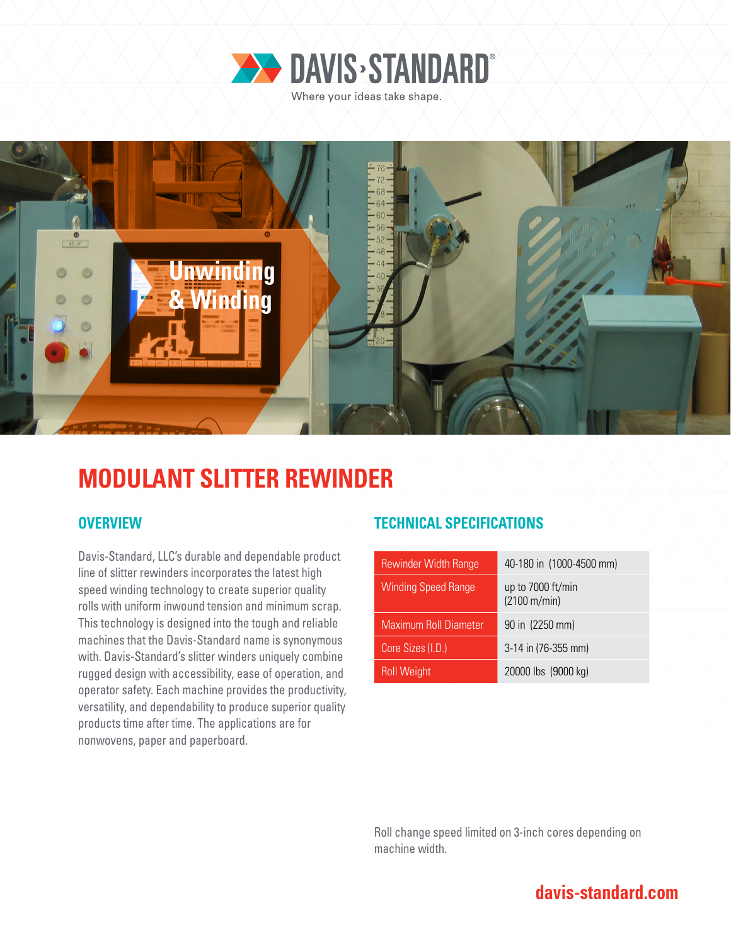

Where your ideas take shape.



# **MODULANT SLITTER REWINDER**

Davis-Standard, LLC's durable and dependable product line of slitter rewinders incorporates the latest high speed winding technology to create superior quality rolls with uniform inwound tension and minimum scrap. This technology is designed into the tough and reliable machines that the Davis-Standard name is synonymous with. Davis-Standard's slitter winders uniquely combine rugged design with accessibility, ease of operation, and operator safety. Each machine provides the productivity, versatility, and dependability to produce superior quality products time after time. The applications are for nonwovens, paper and paperboard.

## **OVERVIEW TECHNICAL SPECIFICATIONS**

| <b>Rewinder Width Range</b>  | 40-180 in (1000-4500 mm)          |
|------------------------------|-----------------------------------|
| <b>Winding Speed Range</b>   | up to 7000 ft/min<br>(2100 m/min) |
| <b>Maximum Roll Diameter</b> | 90 in (2250 mm)                   |
| Core Sizes (I.D.)            | 3-14 in (76-355 mm)               |
| <b>Roll Weight</b>           | 20000 lbs (9000 kg)               |

Roll change speed limited on 3-inch cores depending on machine width.

## **davis-standard.com**